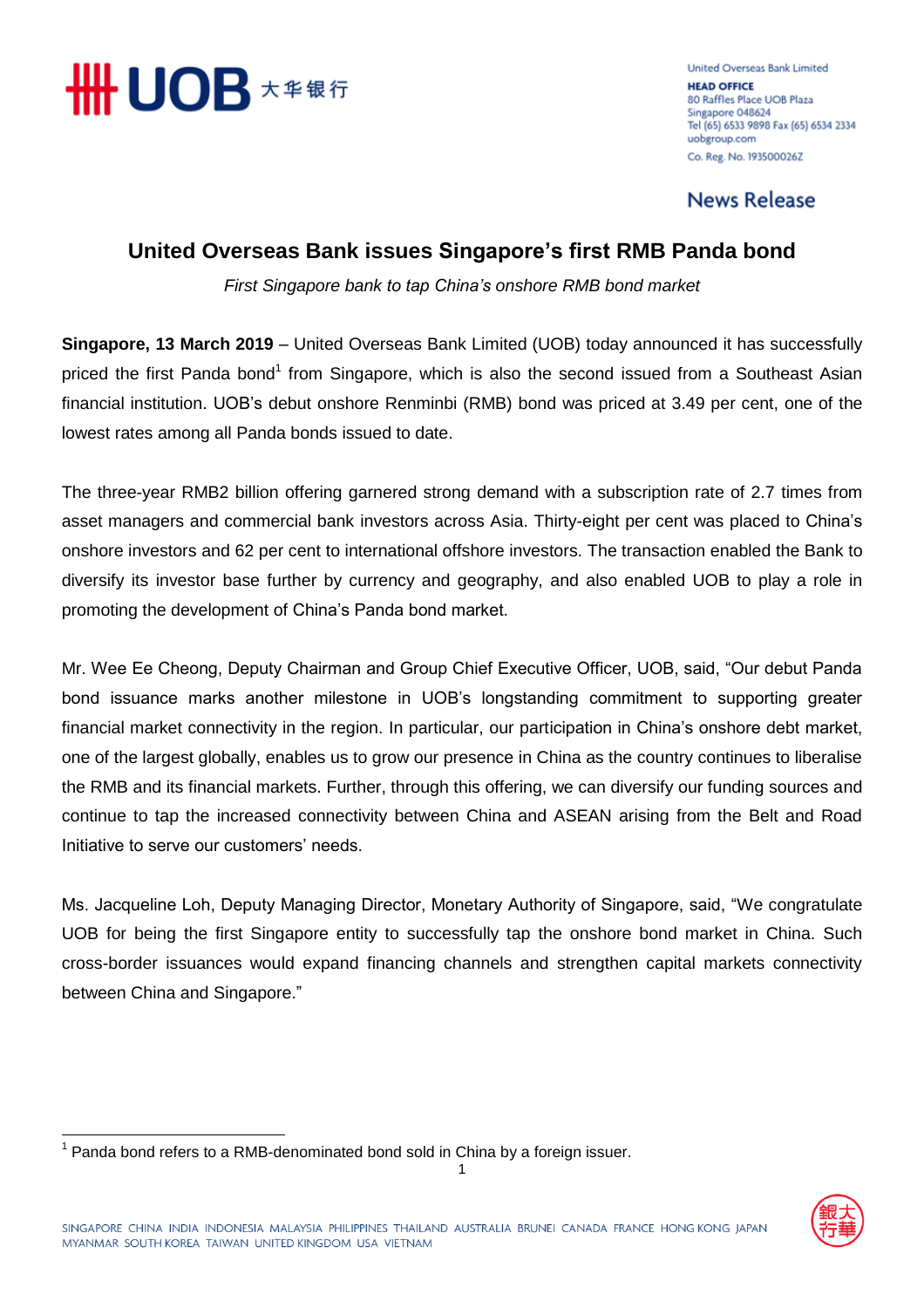

**United Overseas Bank Limited HEAD OFFICE** 80 Raffles Place UOB Plaza Singapore 048624 Tel (65) 6533 9898 Fax (65) 6534 2334 uobgroup.com Co. Reg. No. 193500026Z

**News Release** 

## **United Overseas Bank issues Singapore's first RMB Panda bond**

*First Singapore bank to tap China's onshore RMB bond market*

**Singapore, 13 March 2019** – United Overseas Bank Limited (UOB) today announced it has successfully priced the first Panda bond<sup>1</sup> from Singapore, which is also the second issued from a Southeast Asian financial institution. UOB's debut onshore Renminbi (RMB) bond was priced at 3.49 per cent, one of the lowest rates among all Panda bonds issued to date.

The three-year RMB2 billion offering garnered strong demand with a subscription rate of 2.7 times from asset managers and commercial bank investors across Asia. Thirty-eight per cent was placed to China's onshore investors and 62 per cent to international offshore investors. The transaction enabled the Bank to diversify its investor base further by currency and geography, and also enabled UOB to play a role in promoting the development of China's Panda bond market.

Mr. Wee Ee Cheong, Deputy Chairman and Group Chief Executive Officer, UOB, said, "Our debut Panda bond issuance marks another milestone in UOB's longstanding commitment to supporting greater financial market connectivity in the region. In particular, our participation in China's onshore debt market, one of the largest globally, enables us to grow our presence in China as the country continues to liberalise the RMB and its financial markets. Further, through this offering, we can diversify our funding sources and continue to tap the increased connectivity between China and ASEAN arising from the Belt and Road Initiative to serve our customers' needs.

Ms. Jacqueline Loh, Deputy Managing Director, Monetary Authority of Singapore, said, "We congratulate UOB for being the first Singapore entity to successfully tap the onshore bond market in China. Such cross-border issuances would expand financing channels and strengthen capital markets connectivity between China and Singapore."

1

<u>.</u>

 $1$  Panda bond refers to a RMB-denominated bond sold in China by a foreign issuer.